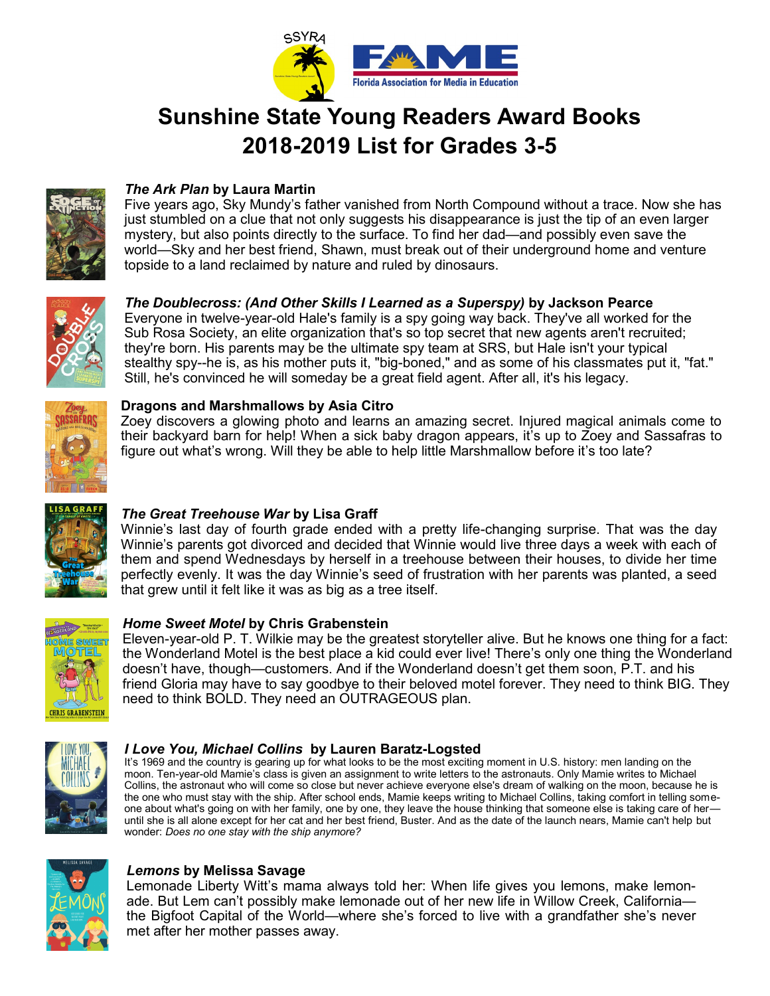

# **Sunshine State Young Readers Award Books 2018-2019 List for Grades 3-5**



# *The Ark Plan* **by Laura Martin**

Five years ago, Sky Mundy's father vanished from North Compound without a trace. Now she has just stumbled on a clue that not only suggests his disappearance is just the tip of an even larger mystery, but also points directly to the surface. To find her dad—and possibly even save the world—Sky and her best friend, Shawn, must break out of their underground home and venture topside to a land reclaimed by nature and ruled by dinosaurs.



## *The Doublecross: (And Other Skills I Learned as a Superspy)* **by Jackson Pearce**

Everyone in twelve-year-old Hale's family is a spy going way back. They've all worked for the Sub Rosa Society, an elite organization that's so top secret that new agents aren't recruited; they're born. His parents may be the ultimate spy team at SRS, but Hale isn't your typical stealthy spy--he is, as his mother puts it, "big-boned," and as some of his classmates put it, "fat." Still, he's convinced he will someday be a great field agent. After all, it's his legacy.



### **Dragons and Marshmallows by Asia Citro**

Zoey discovers a glowing photo and learns an amazing secret. Injured magical animals come to their backyard barn for help! When a sick baby dragon appears, it's up to Zoey and Sassafras to figure out what's wrong. Will they be able to help little Marshmallow before it's too late?



## *The Great Treehouse War* **by Lisa Graff**

Winnie's last day of fourth grade ended with a pretty life-changing surprise. That was the day Winnie's parents got divorced and decided that Winnie would live three days a week with each of them and spend Wednesdays by herself in a treehouse between their houses, to divide her time perfectly evenly. It was the day Winnie's seed of frustration with her parents was planted, a seed that grew until it felt like it was as big as a tree itself.



## *Home Sweet Motel* **by Chris Grabenstein**

Eleven-year-old P. T. Wilkie may be the greatest storyteller alive. But he knows one thing for a fact: the Wonderland Motel is the best place a kid could ever live! There's only one thing the Wonderland doesn't have, though—customers. And if the Wonderland doesn't get them soon, P.T. and his friend Gloria may have to say goodbye to their beloved motel forever. They need to think BIG. They need to think BOLD. They need an OUTRAGEOUS plan.



#### *I Love You, Michael Collins* **by Lauren Baratz-Logsted**

It's 1969 and the country is gearing up for what looks to be the most exciting moment in U.S. history: men landing on the moon. Ten-year-old Mamie's class is given an assignment to write letters to the astronauts. Only Mamie writes to Michael Collins, the astronaut who will come so close but never achieve everyone else's dream of walking on the moon, because he is the one who must stay with the ship. After school ends, Mamie keeps writing to Michael Collins, taking comfort in telling someone about what's going on with her family, one by one, they leave the house thinking that someone else is taking care of her until she is all alone except for her cat and her best friend, Buster. And as the date of the launch nears, Mamie can't help but wonder: *Does no one stay with the ship anymore?* 



#### *Lemons* **by Melissa Savage**

Lemonade Liberty Witt's mama always told her: When life gives you lemons, make lemonade. But Lem can't possibly make lemonade out of her new life in Willow Creek, California the Bigfoot Capital of the World—where she's forced to live with a grandfather she's never met after her mother passes away.